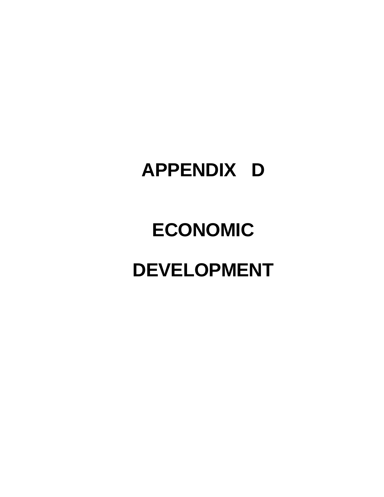## **APPENDIX D**

# **ECONOMIC DEVELOPMENT**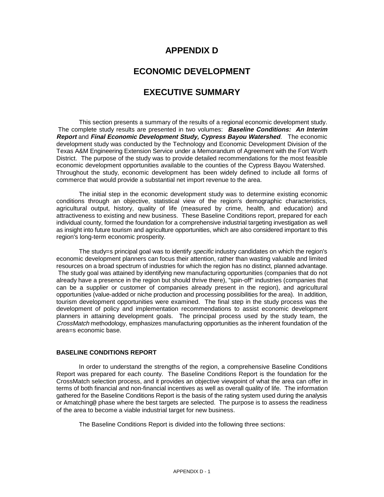## **APPENDIX D**

## **ECONOMIC DEVELOPMENT**

## **EXECUTIVE SUMMARY**

This section presents a summary of the results of a regional economic development study. The complete study results are presented in two volumes: **Baseline Conditions: An Interim Report** and **Final Economic Development Study, Cypress Bayou Watershed**. The economic development study was conducted by the Technology and Economic Development Division of the Texas A&M Engineering Extension Service under a Memorandum of Agreement with the Fort Worth District. The purpose of the study was to provide detailed recommendations for the most feasible economic development opportunities available to the counties of the Cypress Bayou Watershed. Throughout the study, economic development has been widely defined to include all forms of commerce that would provide a substantial net import revenue to the area.

The initial step in the economic development study was to determine existing economic conditions through an objective, statistical view of the region's demographic characteristics, agricultural output, history, quality of life (measured by crime, health, and education) and attractiveness to existing and new business. These Baseline Conditions report, prepared for each individual county, formed the foundation for a comprehensive industrial targeting investigation as well as insight into future tourism and agriculture opportunities, which are also considered important to this region's long-term economic prosperity.

The study=s principal goal was to identify *specific* industry candidates on which the region's economic development planners can focus their attention, rather than wasting valuable and limited resources on a broad spectrum of industries for which the region has no distinct, planned advantage. The study goal was attained by identifying new manufacturing opportunities (companies that do not already have a presence in the region but should thrive there), "spin-off" industries (companies that can be a supplier or customer of companies already present in the region), and agricultural opportunities (value-added or niche production and processing possibilities for the area). In addition, tourism development opportunities were examined. The final step in the study process was the development of policy and implementation recommendations to assist economic development planners in attaining development goals. The principal process used by the study team, the CrossMatch methodology, emphasizes manufacturing opportunities as the inherent foundation of the area=s economic base.

## **BASELINE CONDITIONS REPORT**

In order to understand the strengths of the region, a comprehensive Baseline Conditions Report was prepared for each county. The Baseline Conditions Report is the foundation for the CrossMatch selection process, and it provides an objective viewpoint of what the area can offer in terms of both financial and non-financial incentives as well as overall quality of life. The information gathered for the Baseline Conditions Report is the basis of the rating system used during the analysis or Amatching@ phase where the best targets are selected. The purpose is to assess the readiness of the area to become a viable industrial target for new business.

The Baseline Conditions Report is divided into the following three sections: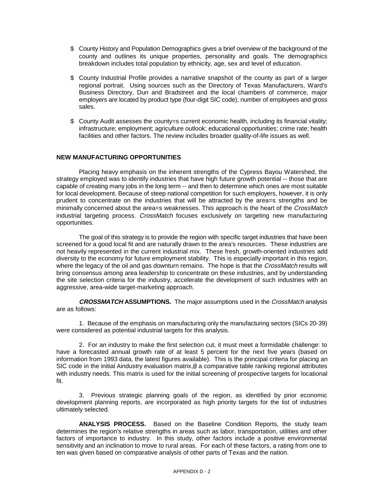- $$$  County History and Population Demographics gives a brief overview of the background of the county and outlines its unique properties, personality and goals. The demographics breakdown includes total population by ethnicity, age, sex and level of education.
- \$ County Industrial Profile provides a narrative snapshot of the county as part of a larger regional portrait. Using sources such as the Directory of Texas Manufacturers, Ward's Business Directory, Dun and Bradstreet and the local chambers of commerce, major employers are located by product type (four-digit SIC code), number of employees and gross sales.
- $$$  County Audit assesses the county=s current economic health, including its financial vitality; infrastructure; employment; agriculture outlook; educational opportunities; crime rate; health facilities and other factors. The review includes broader quality-of-life issues as well.

## **NEW MANUFACTURING OPPORTUNITIES**

Placing heavy emphasis on the inherent strengths of the Cypress Bayou Watershed, the strategy employed was to identify industries that have high future growth potential -- those that are capable of creating many jobs in the long term -- and then to determine which ones are most suitable for local development. Because of steep national competition for such employers, however, it is only prudent to concentrate on the industries that will be attracted by the area=s strengths and be minimally concerned about the area=s weaknesses. This approach is the heart of the CrossMatch industrial targeting process. *CrossMatch* focuses exclusively on targeting new manufacturing opportunities.

The goal of this strategy is to provide the region with specific target industries that have been screened for a good local fit and are naturally drawn to the area's resources. These industries are not heavily represented in the current industrial mix. These fresh, growth-oriented industries add diversity to the economy for future employment stability. This is especially important in this region, where the legacy of the oil and gas downturn remains. The hope is that the CrossMatch results will bring consensus among area leadership to concentrate on these industries, and by understanding the site selection criteria for the industry, accelerate the development of such industries with an aggressive, area-wide target-marketing approach.

**CROSSMATCH ASSUMPTIONS.** The major assumptions used in the CrossMatch analysis are as follows:

1. Because of the emphasis on manufacturing only the manufacturing sectors (SICs 20-39) were considered as potential industrial targets for this analysis.

2. For an industry to make the first selection cut, it must meet a formidable challenge: to have a forecasted annual growth rate of at least 5 percent for the next five years (based on information from 1993 data, the latest figures available). This is the principal criteria for placing an SIC code in the initial Aindustry evaluation matrix,<sup>@</sup> a comparative table ranking regional attributes with industry needs. This matrix is used for the initial screening of prospective targets for locational fit.

3. Previous strategic planning goals of the region, as identified by prior economic development planning reports, are incorporated as high priority targets for the list of industries ultimately selected.

**ANALYSIS PROCESS.** Based on the Baseline Condition Reports, the study team determines the region's relative strengths in areas such as labor, transportation, utilities and other factors of importance to industry. In this study, other factors include a positive environmental sensitivity and an inclination to move to rural areas. For each of these factors, a rating from one to ten was given based on comparative analysis of other parts of Texas and the nation.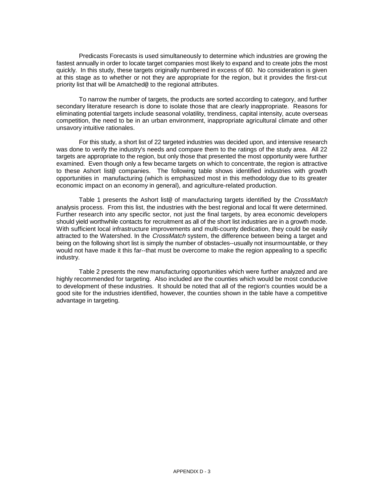Predicasts Forecasts is used simultaneously to determine which industries are growing the fastest annually in order to locate target companies most likely to expand and to create jobs the most quickly. In this study, these targets originally numbered in excess of 60. No consideration is given at this stage as to whether or not they are appropriate for the region, but it provides the first-cut priority list that will be Amatched@ to the regional attributes.

To narrow the number of targets, the products are sorted according to category, and further secondary literature research is done to isolate those that are clearly inappropriate. Reasons for eliminating potential targets include seasonal volatility, trendiness, capital intensity, acute overseas competition, the need to be in an urban environment, inappropriate agricultural climate and other unsavory intuitive rationales.

For this study, a short list of 22 targeted industries was decided upon, and intensive research was done to verify the industry's needs and compare them to the ratings of the study area. All 22 targets are appropriate to the region, but only those that presented the most opportunity were further examined. Even though only a few became targets on which to concentrate, the region is attractive to these Ashort list@ companies. The following table shows identified industries with growth opportunities in manufacturing (which is emphasized most in this methodology due to its greater economic impact on an economy in general), and agriculture-related production.

Table 1 presents the Ashort list@ of manufacturing targets identified by the CrossMatch analysis process. From this list, the industries with the best regional and local fit were determined. Further research into any specific sector, not just the final targets, by area economic developers should yield worthwhile contacts for recruitment as all of the short list industries are in a growth mode. With sufficient local infrastructure improvements and multi-county dedication, they could be easily attracted to the Watershed. In the CrossMatch system, the difference between being a target and being on the following short list is simply the number of obstacles--usually not insurmountable, or they would not have made it this far--that must be overcome to make the region appealing to a specific industry.

Table 2 presents the new manufacturing opportunities which were further analyzed and are highly recommended for targeting. Also included are the counties which would be most conducive to development of these industries. It should be noted that all of the region's counties would be a good site for the industries identified, however, the counties shown in the table have a competitive advantage in targeting.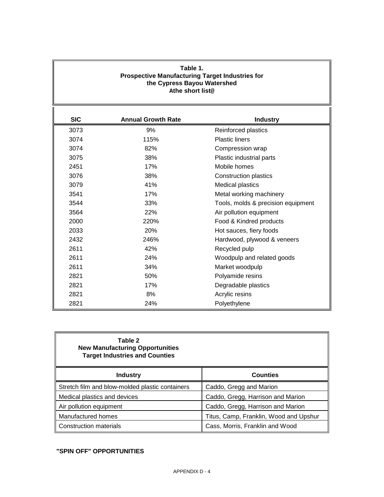## **Table 1. Prospective Manufacturing Target Industries for the Cypress Bayou Watershed Athe short list@**

| <b>SIC</b> | <b>Annual Growth Rate</b> | <b>Industry</b>                    |
|------------|---------------------------|------------------------------------|
| 3073       | 9%                        | Reinforced plastics                |
| 3074       | 115%                      | <b>Plastic liners</b>              |
| 3074       | 82%                       | Compression wrap                   |
| 3075       | 38%                       | Plastic industrial parts           |
| 2451       | 17%                       | Mobile homes                       |
| 3076       | 38%                       | Construction plastics              |
| 3079       | 41%                       | <b>Medical plastics</b>            |
| 3541       | 17%                       | Metal working machinery            |
| 3544       | 33%                       | Tools, molds & precision equipment |
| 3564       | 22%                       | Air pollution equipment            |
| 2000       | 220%                      | Food & Kindred products            |
| 2033       | 20%                       | Hot sauces, fiery foods            |
| 2432       | 246%                      | Hardwood, plywood & veneers        |
| 2611       | 42%                       | Recycled pulp                      |
| 2611       | 24%                       | Woodpulp and related goods         |
| 2611       | 34%                       | Market woodpulp                    |
| 2821       | 50%                       | Polyamide resins                   |
| 2821       | 17%                       | Degradable plastics                |
| 2821       | 8%                        | Acrylic resins                     |
| 2821       | 24%                       | Polyethylene                       |

| Table 2<br><b>New Manufacturing Opportunities</b><br><b>Target Industries and Counties</b> |                                        |
|--------------------------------------------------------------------------------------------|----------------------------------------|
| <b>Industry</b>                                                                            | <b>Counties</b>                        |
| Stretch film and blow-molded plastic containers                                            | Caddo, Gregg and Marion                |
| Medical plastics and devices                                                               | Caddo, Gregg, Harrison and Marion      |
| Air pollution equipment                                                                    | Caddo, Gregg, Harrison and Marion      |
| Manufactured homes                                                                         | Titus, Camp, Franklin, Wood and Upshur |
| <b>Construction materials</b>                                                              | Cass, Morris, Franklin and Wood        |

## **"SPIN OFF" OPPORTUNITIES**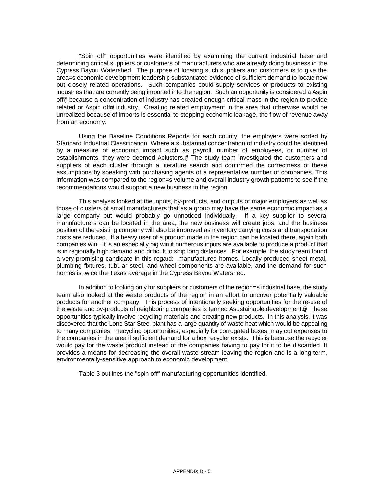"Spin off" opportunities were identified by examining the current industrial base and determining critical suppliers or customers of manufacturers who are already doing business in the Cypress Bayou Watershed. The purpose of locating such suppliers and customers is to give the area=s economic development leadership substantiated evidence of sufficient demand to locate new but closely related operations. Such companies could supply services or products to existing industries that are currently being imported into the region. Such an opportunity is considered a Aspin off@ because a concentration of industry has created enough critical mass in the region to provide related or Aspin off@ industry. Creating related employment in the area that otherwise would be unrealized because of imports is essential to stopping economic leakage, the flow of revenue away from an economy.

Using the Baseline Conditions Reports for each county, the employers were sorted by Standard Industrial Classification. Where a substantial concentration of industry could be identified by a measure of economic impact such as payroll, number of employees, or number of establishments, they were deemed Aclusters.@ The study team investigated the customers and suppliers of each cluster through a literature search and confirmed the correctness of these assumptions by speaking with purchasing agents of a representative number of companies. This information was compared to the region=s volume and overall industry growth patterns to see if the recommendations would support a new business in the region.

This analysis looked at the inputs, by-products, and outputs of major employers as well as those of clusters of small manufacturers that as a group may have the same economic impact as a large company but would probably go unnoticed individually. If a key supplier to several manufacturers can be located in the area, the new business will create jobs, and the business position of the existing company will also be improved as inventory carrying costs and transportation costs are reduced. If a heavy user of a product made in the region can be located there, again both companies win. It is an especially big win if numerous inputs are available to produce a product that is in regionally high demand and difficult to ship long distances. For example, the study team found a very promising candidate in this regard: manufactured homes. Locally produced sheet metal, plumbing fixtures, tubular steel, and wheel components are available, and the demand for such homes is twice the Texas average in the Cypress Bayou Watershed.

In addition to looking only for suppliers or customers of the region=s industrial base, the study team also looked at the waste products of the region in an effort to uncover potentially valuable products for another company. This process of intentionally seeking opportunities for the re-use of the waste and by-products of neighboring companies is termed Asustainable development.@ These opportunities typically involve recycling materials and creating new products. In this analysis, it was discovered that the Lone Star Steel plant has a large quantity of waste heat which would be appealing to many companies. Recycling opportunities, especially for corrugated boxes, may cut expenses to the companies in the area if sufficient demand for a box recycler exists. This is because the recycler would pay for the waste product instead of the companies having to pay for it to be discarded. It provides a means for decreasing the overall waste stream leaving the region and is a long term, environmentally-sensitive approach to economic development.

Table 3 outlines the "spin off" manufacturing opportunities identified.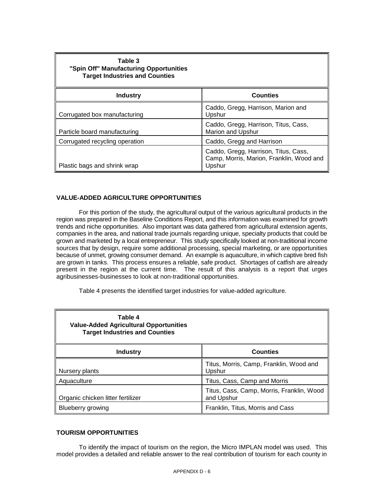| Table 3<br>"Spin Off" Manufacturing Opportunities<br><b>Target Industries and Counties</b> |                                                                                            |
|--------------------------------------------------------------------------------------------|--------------------------------------------------------------------------------------------|
| <b>Industry</b>                                                                            | <b>Counties</b>                                                                            |
| Corrugated box manufacturing                                                               | Caddo, Gregg, Harrison, Marion and<br>Upshur                                               |
| Particle board manufacturing                                                               | Caddo, Gregg, Harrison, Titus, Cass,<br><b>Marion and Upshur</b>                           |
| Corrugated recycling operation                                                             | Caddo, Gregg and Harrison                                                                  |
| Plastic bags and shrink wrap                                                               | Caddo, Gregg, Harrison, Titus, Cass,<br>Camp, Morris, Marion, Franklin, Wood and<br>Upshur |

## **VALUE-ADDED AGRICULTURE OPPORTUNITIES**

For this portion of the study, the agricultural output of the various agricultural products in the region was prepared in the Baseline Conditions Report, and this information was examined for growth trends and niche opportunities. Also important was data gathered from agricultural extension agents, companies in the area, and national trade journals regarding unique, specialty products that could be grown and marketed by a local entrepreneur. This study specifically looked at non-traditional income sources that by design, require some additional processing, special marketing, or are opportunities because of unmet, growing consumer demand. An example is aquaculture, in which captive bred fish are grown in tanks. This process ensures a reliable, safe product. Shortages of catfish are already present in the region at the current time. The result of this analysis is a report that urges agribusinesses-businesses to look at non-traditional opportunities.

Table 4 presents the identified target industries for value-added agriculture.

| Table 4<br><b>Value-Added Agricultural Opportunities</b><br><b>Target Industries and Counties</b> |                                                         |
|---------------------------------------------------------------------------------------------------|---------------------------------------------------------|
| Industry                                                                                          | <b>Counties</b>                                         |
| Nursery plants                                                                                    | Titus, Morris, Camp, Franklin, Wood and<br>Upshur       |
| Aquaculture                                                                                       | Titus, Cass, Camp and Morris                            |
| Organic chicken litter fertilizer                                                                 | Titus, Cass, Camp, Morris, Franklin, Wood<br>and Upshur |
| <b>Blueberry growing</b>                                                                          | Franklin, Titus, Morris and Cass                        |

## **TOURISM OPPORTUNITIES**

To identify the impact of tourism on the region, the Micro IMPLAN model was used. This model provides a detailed and reliable answer to the real contribution of tourism for each county in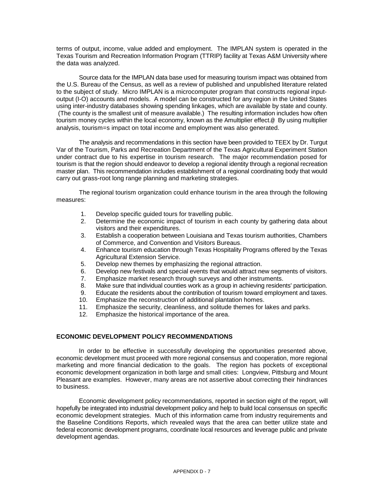terms of output, income, value added and employment. The IMPLAN system is operated in the Texas Tourism and Recreation Information Program (TTRIP) facility at Texas A&M University where the data was analyzed.

Source data for the IMPLAN data base used for measuring tourism impact was obtained from the U.S. Bureau of the Census, as well as a review of published and unpublished literature related to the subject of study. Micro IMPLAN is a microcomputer program that constructs regional inputoutput (I-O) accounts and models. A model can be constructed for any region in the United States using inter-industry databases showing spending linkages, which are available by state and county. (The county is the smallest unit of measure available.) The resulting information includes how often tourism money cycles within the local economy, known as the Amultiplier effect.@ By using multiplier analysis, tourism=s impact on total income and employment was also generated.

The analysis and recommendations in this section have been provided to TEEX by Dr. Turgut Var of the Tourism, Parks and Recreation Department of the Texas Agricultural Experiment Station under contract due to his expertise in tourism research. The major recommendation posed for tourism is that the region should endeavor to develop a regional identity through a regional recreation master plan. This recommendation includes establishment of a regional coordinating body that would carry out grass-root long range planning and marketing strategies.

The regional tourism organization could enhance tourism in the area through the following measures:

- 1. Develop specific guided tours for travelling public.
- 2. Determine the economic impact of tourism in each county by gathering data about visitors and their expenditures.
- 3. Establish a cooperation between Louisiana and Texas tourism authorities, Chambers of Commerce, and Convention and Visitors Bureaus.
- 4. Enhance tourism education through Texas Hospitality Programs offered by the Texas Agricultural Extension Service.
- 5. Develop new themes by emphasizing the regional attraction.
- 6. Develop new festivals and special events that would attract new segments of visitors.
- 7. Emphasize market research through surveys and other instruments.
- 8. Make sure that individual counties work as a group in achieving residents' participation.
- 9. Educate the residents about the contribution of tourism toward employment and taxes.
- 10. Emphasize the reconstruction of additional plantation homes.
- 11. Emphasize the security, cleanliness, and solitude themes for lakes and parks.
- 12. Emphasize the historical importance of the area.

## **ECONOMIC DEVELOPMENT POLICY RECOMMENDATIONS**

In order to be effective in successfully developing the opportunities presented above, economic development must proceed with more regional consensus and cooperation, more regional marketing and more financial dedication to the goals. The region has pockets of exceptional economic development organization in both large and small cities: Longview, Pittsburg and Mount Pleasant are examples. However, many areas are not assertive about correcting their hindrances to business.

Economic development policy recommendations, reported in section eight of the report, will hopefully be integrated into industrial development policy and help to build local consensus on specific economic development strategies. Much of this information came from industry requirements and the Baseline Conditions Reports, which revealed ways that the area can better utilize state and federal economic development programs, coordinate local resources and leverage public and private development agendas.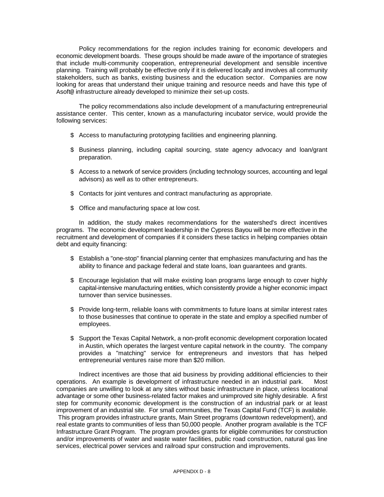Policy recommendations for the region includes training for economic developers and economic development boards. These groups should be made aware of the importance of strategies that include multi-community cooperation, entrepreneurial development and sensible incentive planning. Training will probably be effective only if it is delivered locally and involves all community stakeholders, such as banks, existing business and the education sector. Companies are now looking for areas that understand their unique training and resource needs and have this type of Asoft@ infrastructure already developed to minimize their set-up costs.

The policy recommendations also include development of a manufacturing entrepreneurial assistance center. This center, known as a manufacturing incubator service, would provide the following services:

- \$ Access to manufacturing prototyping facilities and engineering planning.
- \$ Business planning, including capital sourcing, state agency advocacy and loan/grant preparation.
- $$$  Access to a network of service providers (including technology sources, accounting and legal advisors) as well as to other entrepreneurs.
- \$ Contacts for joint ventures and contract manufacturing as appropriate.
- \$ Office and manufacturing space at low cost.

In addition, the study makes recommendations for the watershed's direct incentives programs. The economic development leadership in the Cypress Bayou will be more effective in the recruitment and development of companies if it considers these tactics in helping companies obtain debt and equity financing:

- \$ Establish a "one-stop" financial planning center that emphasizes manufacturing and has the ability to finance and package federal and state loans, loan guarantees and grants.
- \$ Encourage legislation that will make existing loan programs large enough to cover highly capital-intensive manufacturing entities, which consistently provide a higher economic impact turnover than service businesses.
- \$ Provide long-term, reliable loans with commitments to future loans at similar interest rates to those businesses that continue to operate in the state and employ a specified number of employees.
- \$ Support the Texas Capital Network, a non-profit economic development corporation located in Austin, which operates the largest venture capital network in the country. The company provides a "matching" service for entrepreneurs and investors that has helped entrepreneurial ventures raise more than \$20 million.

Indirect incentives are those that aid business by providing additional efficiencies to their operations. An example is development of infrastructure needed in an industrial park. Most companies are unwilling to look at any sites without basic infrastructure in place, unless locational advantage or some other business-related factor makes and unimproved site highly desirable. A first step for community economic development is the construction of an industrial park or at least improvement of an industrial site. For small communities, the Texas Capital Fund (TCF) is available. This program provides infrastructure grants, Main Street programs (downtown redevelopment), and real estate grants to communities of less than 50,000 people. Another program available is the TCF Infrastructure Grant Program. The program provides grants for eligible communities for construction and/or improvements of water and waste water facilities, public road construction, natural gas line services, electrical power services and railroad spur construction and improvements.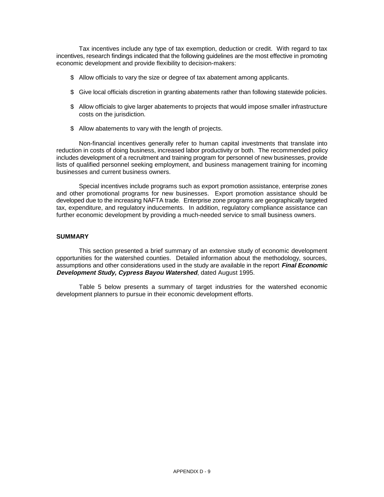Tax incentives include any type of tax exemption, deduction or credit. With regard to tax incentives, research findings indicated that the following guidelines are the most effective in promoting economic development and provide flexibility to decision-makers:

- $$$  Allow officials to vary the size or degree of tax abatement among applicants.
- $$$  Give local officials discretion in granting abatements rather than following statewide policies.
- \$ Allow officials to give larger abatements to projects that would impose smaller infrastructure costs on the jurisdiction.
- \$ Allow abatements to vary with the length of projects.

Non-financial incentives generally refer to human capital investments that translate into reduction in costs of doing business, increased labor productivity or both. The recommended policy includes development of a recruitment and training program for personnel of new businesses, provide lists of qualified personnel seeking employment, and business management training for incoming businesses and current business owners.

Special incentives include programs such as export promotion assistance, enterprise zones and other promotional programs for new businesses. Export promotion assistance should be developed due to the increasing NAFTA trade. Enterprise zone programs are geographically targeted tax, expenditure, and regulatory inducements. In addition, regulatory compliance assistance can further economic development by providing a much-needed service to small business owners.

## **SUMMARY**

This section presented a brief summary of an extensive study of economic development opportunities for the watershed counties. Detailed information about the methodology, sources, assumptions and other considerations used in the study are available in the report **Final Economic Development Study, Cypress Bayou Watershed**, dated August 1995.

Table 5 below presents a summary of target industries for the watershed economic development planners to pursue in their economic development efforts.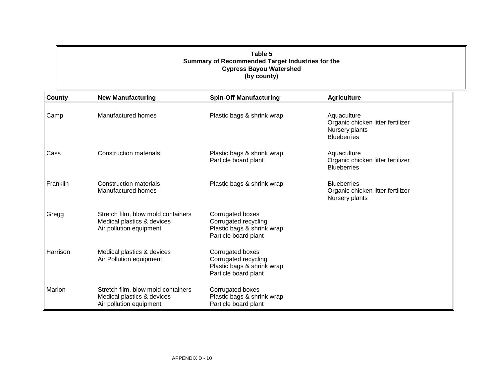## **Table 5 Summary of Recommended Target Industries for the Cypress Bayou Watershed (by county)**

| <b>County</b> | <b>New Manufacturing</b>                                                                    | <b>Spin-Off Manufacturing</b>                                                                  | <b>Agriculture</b>                                                                       |
|---------------|---------------------------------------------------------------------------------------------|------------------------------------------------------------------------------------------------|------------------------------------------------------------------------------------------|
| Camp          | Manufactured homes                                                                          | Plastic bags & shrink wrap                                                                     | Aquaculture<br>Organic chicken litter fertilizer<br>Nursery plants<br><b>Blueberries</b> |
| Cass          | <b>Construction materials</b>                                                               | Plastic bags & shrink wrap<br>Particle board plant                                             | Aquaculture<br>Organic chicken litter fertilizer<br><b>Blueberries</b>                   |
| Franklin      | <b>Construction materials</b><br>Manufactured homes                                         | Plastic bags & shrink wrap                                                                     | <b>Blueberries</b><br>Organic chicken litter fertilizer<br>Nursery plants                |
| Gregg         | Stretch film, blow mold containers<br>Medical plastics & devices<br>Air pollution equipment | Corrugated boxes<br>Corrugated recycling<br>Plastic bags & shrink wrap<br>Particle board plant |                                                                                          |
| Harrison      | Medical plastics & devices<br>Air Pollution equipment                                       | Corrugated boxes<br>Corrugated recycling<br>Plastic bags & shrink wrap<br>Particle board plant |                                                                                          |
| Marion        | Stretch film, blow mold containers<br>Medical plastics & devices<br>Air pollution equipment | Corrugated boxes<br>Plastic bags & shrink wrap<br>Particle board plant                         |                                                                                          |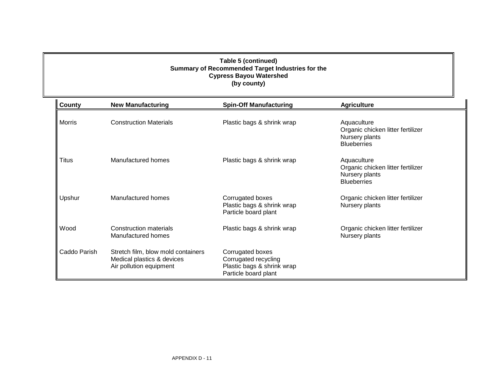## **Table 5 (continued) Summary of Recommended Target Industries for the Cypress Bayou Watershed (by county)**

| County       | <b>New Manufacturing</b>                                                                    | <b>Spin-Off Manufacturing</b>                                                                  | <b>Agriculture</b>                                                                       |
|--------------|---------------------------------------------------------------------------------------------|------------------------------------------------------------------------------------------------|------------------------------------------------------------------------------------------|
| Morris       | <b>Construction Materials</b>                                                               | Plastic bags & shrink wrap                                                                     | Aquaculture<br>Organic chicken litter fertilizer<br>Nursery plants<br><b>Blueberries</b> |
| Titus        | Manufactured homes                                                                          | Plastic bags & shrink wrap                                                                     | Aquaculture<br>Organic chicken litter fertilizer<br>Nursery plants<br><b>Blueberries</b> |
| Upshur       | Manufactured homes                                                                          | Corrugated boxes<br>Plastic bags & shrink wrap<br>Particle board plant                         | Organic chicken litter fertilizer<br>Nursery plants                                      |
| Wood         | <b>Construction materials</b><br>Manufactured homes                                         | Plastic bags & shrink wrap                                                                     | Organic chicken litter fertilizer<br>Nursery plants                                      |
| Caddo Parish | Stretch film, blow mold containers<br>Medical plastics & devices<br>Air pollution equipment | Corrugated boxes<br>Corrugated recycling<br>Plastic bags & shrink wrap<br>Particle board plant |                                                                                          |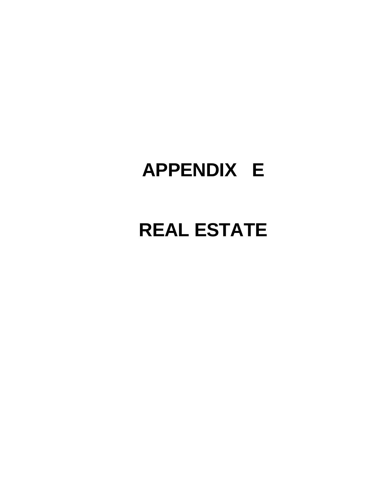## **APPENDIX E**

## **REAL ESTATE**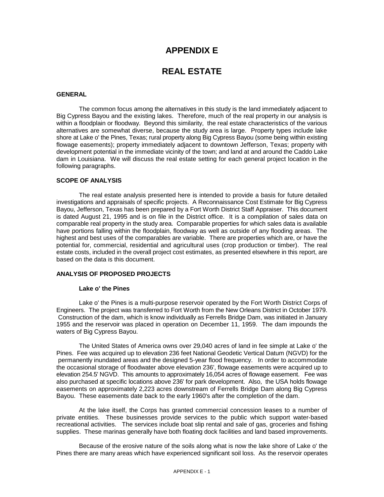## **APPENDIX E**

## **REAL ESTATE**

#### **GENERAL**

The common focus among the alternatives in this study is the land immediately adjacent to Big Cypress Bayou and the existing lakes. Therefore, much of the real property in our analysis is within a floodplain or floodway. Beyond this similarity, the real estate characteristics of the various alternatives are somewhat diverse, because the study area is large. Property types include lake shore at Lake o' the Pines, Texas; rural property along Big Cypress Bayou (some being within existing flowage easements); property immediately adjacent to downtown Jefferson, Texas; property with development potential in the immediate vicinity of the town; and land at and around the Caddo Lake dam in Louisiana. We will discuss the real estate setting for each general project location in the following paragraphs.

## **SCOPE OF ANALYSIS**

The real estate analysis presented here is intended to provide a basis for future detailed investigations and appraisals of specific projects. A Reconnaissance Cost Estimate for Big Cypress Bayou, Jefferson, Texas has been prepared by a Fort Worth District Staff Appraiser. This document is dated August 21, 1995 and is on file in the District office. It is a compilation of sales data on comparable real property in the study area. Comparable properties for which sales data is available have portions falling within the floodplain, floodway as well as outside of any flooding areas. The highest and best uses of the comparables are variable. There are properties which are, or have the potential for, commercial, residential and agricultural uses (crop production or timber). The real estate costs, included in the overall project cost estimates, as presented elsewhere in this report, are based on the data is this document.

## **ANALYSIS OF PROPOSED PROJECTS**

#### **Lake o' the Pines**

Lake o' the Pines is a multi-purpose reservoir operated by the Fort Worth District Corps of Engineers. The project was transferred to Fort Worth from the New Orleans District in October 1979. Construction of the dam, which is know individually as Ferrells Bridge Dam, was initiated in January 1955 and the reservoir was placed in operation on December 11, 1959. The dam impounds the waters of Big Cypress Bayou.

The United States of America owns over 29,040 acres of land in fee simple at Lake o' the Pines. Fee was acquired up to elevation 236 feet National Geodetic Vertical Datum (NGVD) for the permanently inundated areas and the designed 5-year flood frequency. In order to accommodate the occasional storage of floodwater above elevation 236', flowage easements were acquired up to elevation 254.5' NGVD. This amounts to approximately 16,054 acres of flowage easement. Fee was also purchased at specific locations above 236' for park development. Also, the USA holds flowage easements on approximately 2,223 acres downstream of Ferrells Bridge Dam along Big Cypress Bayou. These easements date back to the early 1960's after the completion of the dam.

At the lake itself, the Corps has granted commercial concession leases to a number of private entities. These businesses provide services to the public which support water-based recreational activities. The services include boat slip rental and sale of gas, groceries and fishing supplies. These marinas generally have both floating dock facilities and land based improvements.

Because of the erosive nature of the soils along what is now the lake shore of Lake o' the Pines there are many areas which have experienced significant soil loss. As the reservoir operates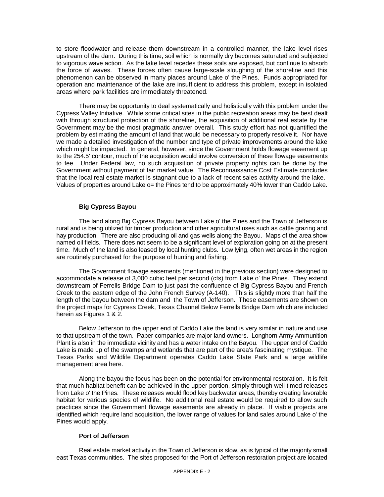to store floodwater and release them downstream in a controlled manner, the lake level rises upstream of the dam. During this time, soil which is normally dry becomes saturated and subjected to vigorous wave action. As the lake level recedes these soils are exposed, but continue to absorb the force of waves. These forces often cause large-scale sloughing of the shoreline and this phenomenon can be observed in many places around Lake o' the Pines. Funds appropriated for operation and maintenance of the lake are insufficient to address this problem, except in isolated areas where park facilities are immediately threatened.

There may be opportunity to deal systematically and holistically with this problem under the Cypress Valley Initiative. While some critical sites in the public recreation areas may be best dealt with through structural protection of the shoreline, the acquisition of additional real estate by the Government may be the most pragmatic answer overall. This study effort has not quantified the problem by estimating the amount of land that would be necessary to properly resolve it. Nor have we made a detailed investigation of the number and type of private improvements around the lake which might be impacted. In general, however, since the Government holds flowage easement up to the 254.5' contour, much of the acquisition would involve conversion of these flowage easements to fee. Under Federal law, no such acquisition of private property rights can be done by the Government without payment of fair market value. The Reconnaissance Cost Estimate concludes that the local real estate market is stagnant due to a lack of recent sales activity around the lake. Values of properties around Lake o= the Pines tend to be approximately 40% lower than Caddo Lake.

## **Big Cypress Bayou**

The land along Big Cypress Bayou between Lake o' the Pines and the Town of Jefferson is rural and is being utilized for timber production and other agricultural uses such as cattle grazing and hay production. There are also producing oil and gas wells along the Bayou. Maps of the area show named oil fields. There does not seem to be a significant level of exploration going on at the present time. Much of the land is also leased by local hunting clubs. Low lying, often wet areas in the region are routinely purchased for the purpose of hunting and fishing.

The Government flowage easements (mentioned in the previous section) were designed to accommodate a release of 3,000 cubic feet per second (cfs) from Lake o' the Pines. They extend downstream of Ferrells Bridge Dam to just past the confluence of Big Cypress Bayou and French Creek to the eastern edge of the John French Survey (A-140). This is slightly more than half the length of the bayou between the dam and the Town of Jefferson. These easements are shown on the project maps for Cypress Creek, Texas Channel Below Ferrells Bridge Dam which are included herein as Figures 1 & 2.

Below Jefferson to the upper end of Caddo Lake the land is very similar in nature and use to that upstream of the town. Paper companies are major land owners. Longhorn Army Ammunition Plant is also in the immediate vicinity and has a water intake on the Bayou. The upper end of Caddo Lake is made up of the swamps and wetlands that are part of the area's fascinating mystique. The Texas Parks and Wildlife Department operates Caddo Lake State Park and a large wildlife management area here.

Along the bayou the focus has been on the potential for environmental restoration. It is felt that much habitat benefit can be achieved in the upper portion, simply through well timed releases from Lake o' the Pines. These releases would flood key backwater areas, thereby creating favorable habitat for various species of wildlife. No additional real estate would be required to allow such practices since the Government flowage easements are already in place. If viable projects are identified which require land acquisition, the lower range of values for land sales around Lake o' the Pines would apply.

## **Port of Jefferson**

Real estate market activity in the Town of Jefferson is slow, as is typical of the majority small east Texas communities. The sites proposed for the Port of Jefferson restoration project are located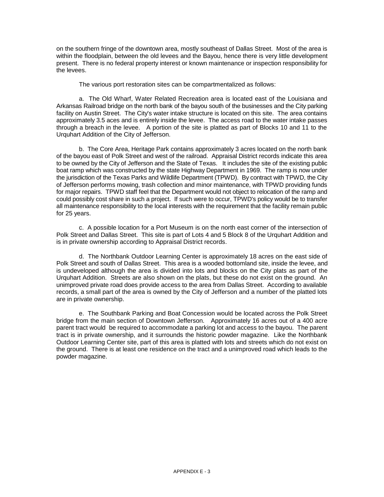on the southern fringe of the downtown area, mostly southeast of Dallas Street. Most of the area is within the floodplain, between the old levees and the Bayou, hence there is very little development present. There is no federal property interest or known maintenance or inspection responsibility for the levees.

The various port restoration sites can be compartmentalized as follows:

a. The Old Wharf, Water Related Recreation area is located east of the Louisiana and Arkansas Railroad bridge on the north bank of the bayou south of the businesses and the City parking facility on Austin Street. The City's water intake structure is located on this site. The area contains approximately 3.5 aces and is entirely inside the levee. The access road to the water intake passes through a breach in the levee. A portion of the site is platted as part of Blocks 10 and 11 to the Urquhart Addition of the City of Jefferson.

b. The Core Area, Heritage Park contains approximately 3 acres located on the north bank of the bayou east of Polk Street and west of the railroad. Appraisal District records indicate this area to be owned by the City of Jefferson and the State of Texas. It includes the site of the existing public boat ramp which was constructed by the state Highway Department in 1969. The ramp is now under the jurisdiction of the Texas Parks and Wildlife Department (TPWD). By contract with TPWD, the City of Jefferson performs mowing, trash collection and minor maintenance, with TPWD providing funds for major repairs. TPWD staff feel that the Department would not object to relocation of the ramp and could possibly cost share in such a project. If such were to occur, TPWD's policy would be to transfer all maintenance responsibility to the local interests with the requirement that the facility remain public for 25 years.

c. A possible location for a Port Museum is on the north east corner of the intersection of Polk Street and Dallas Street. This site is part of Lots 4 and 5 Block 8 of the Urquhart Addition and is in private ownership according to Appraisal District records.

d. The Northbank Outdoor Learning Center is approximately 18 acres on the east side of Polk Street and south of Dallas Street. This area is a wooded bottomland site, inside the levee, and is undeveloped although the area is divided into lots and blocks on the City plats as part of the Urquhart Addition. Streets are also shown on the plats, but these do not exist on the ground. An unimproved private road does provide access to the area from Dallas Street. According to available records, a small part of the area is owned by the City of Jefferson and a number of the platted lots are in private ownership.

e. The Southbank Parking and Boat Concession would be located across the Polk Street bridge from the main section of Downtown Jefferson. Approximately 16 acres out of a 400 acre parent tract would be required to accommodate a parking lot and access to the bayou. The parent tract is in private ownership, and it surrounds the historic powder magazine. Like the Northbank Outdoor Learning Center site, part of this area is platted with lots and streets which do not exist on the ground. There is at least one residence on the tract and a unimproved road which leads to the powder magazine.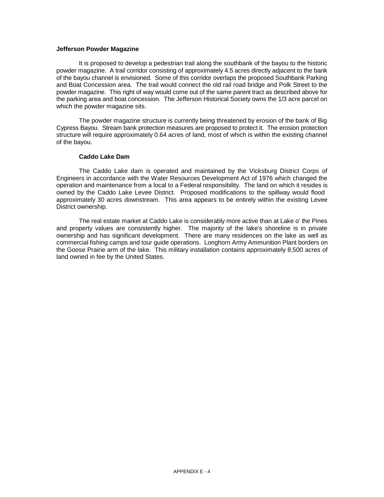#### **Jefferson Powder Magazine**

It is proposed to develop a pedestrian trail along the southbank of the bayou to the historic powder magazine. A trail corridor consisting of approximately 4.5 acres directly adjacent to the bank of the bayou channel is envisioned. Some of this corridor overlaps the proposed Southbank Parking and Boat Concession area. The trail would connect the old rail road bridge and Polk Street to the powder magazine. This right of way would come out of the same parent tract as described above for the parking area and boat concession. The Jefferson Historical Society owns the 1/3 acre parcel on which the powder magazine sits.

The powder magazine structure is currently being threatened by erosion of the bank of Big Cypress Bayou. Stream bank protection measures are proposed to protect it. The erosion protection structure will require approximately 0.64 acres of land, most of which is within the existing channel of the bayou.

## **Caddo Lake Dam**

The Caddo Lake dam is operated and maintained by the Vicksburg District Corps of Engineers in accordance with the Water Resources Development Act of 1976 which changed the operation and maintenance from a local to a Federal responsibility. The land on which it resides is owned by the Caddo Lake Levee District. Proposed modifications to the spillway would flood approximately 30 acres downstream. This area appears to be entirely within the existing Levee District ownership.

The real estate market at Caddo Lake is considerably more active than at Lake o' the Pines and property values are consistently higher. The majority of the lake's shoreline is in private ownership and has significant development. There are many residences on the lake as well as commercial fishing camps and tour guide operations. Longhorn Army Ammunition Plant borders on the Goose Prairie arm of the lake. This military installation contains approximately 8,500 acres of land owned in fee by the United States.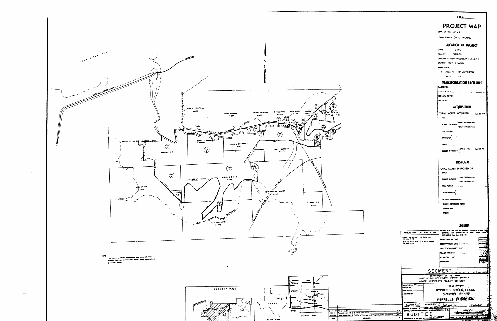

**STATE MOEN** 

## FINAL

PROJECT MAP DEPT. OF THE ARMY

USING SERVICE CIVIL WORKS

#### **LOCATION OF PROJECT**

TEXAS **STATE MARION COUNTY** DIVISION LOWER MISSISSIPPI VALLEY DISTRICT NEW ORLEANS **MAY AREA** 6 MALES W OF JEFFERSON MILES OF **TRANSPORTATION EACHLITIES** 

RAILROADS STATE ROADS

**FEDERAL ROADS** AIR LINES

#### **ACQUISITION**

TOTAL ACRES ACQUIRED 2,223.19 FEE

PUBLIC DOMA

TEMP. **None A WAI** 

**USE PERAI** 

TRANSFER

LEASE

LESSER INTERESTS

## **DISPOSAL**

TOTAL ACRES DISPOSED OF SOLD

**FUBLIC D** 

USE PERMIT **TRANSFER** 

LEASES TERMINATED

LESSER INTERESTS TERM

REASSIGNED

OTHER

## **LEGEND**

| ACQUISITION AUTHORIZATION<br>Public Law Ro. 526, 79th Congress,<br>24 July 1946.<br>2nd ind, from GCE to LMVD dated<br>24 Nov 1959. |                                                                                  | RESERVATION LINE<br>TRACT NUMBER<br>CONTOUR LINE<br>DISPOSAL | EXCEPT FOR THE SPECIAL SYMBOLS SHOWN BELOW<br>SYMBOLS ARE STANDARD IN ARMY MAP SERVICE<br>TECHNICAL MANUAL NO. 23.<br><b>RESERVATION LINE LAOM ServerL.</b><br>TRACT BOUNDARY LINE |                         | ισο                         |
|-------------------------------------------------------------------------------------------------------------------------------------|----------------------------------------------------------------------------------|--------------------------------------------------------------|------------------------------------------------------------------------------------------------------------------------------------------------------------------------------------|-------------------------|-----------------------------|
|                                                                                                                                     | OFFICE OF THE NEW ORLEANS DISTRICT ENGINEER<br>LOWER MISSISSIPPI VALLEY DIVISION | DEPARTMENT OF THE ARMY                                       | SEGMENT 1                                                                                                                                                                          |                         | والمعاملة والمتحركة الترامي |
| DERWN EY___ MCA_<br><b>BACK M____</b><br>osten m<br>SUBJECTED BY:                                                                   |                                                                                  |                                                              | <b>REAL ESTATE</b><br>CYPRESS CREEK, TEXAS<br>CHANNEL BELOW<br>FERRELLS BRIDGE D'AW                                                                                                |                         |                             |
| <b>COMBOD 17.</b><br>OFFICE, CHIEF OF ENDINEERS, WASHINGTON 25, D. C.                                                               | <b>ARRESTS</b>                                                                   | Karl Ad                                                      |                                                                                                                                                                                    | a⊑pa∹si∸si<br>உட்ட கீண் |                             |